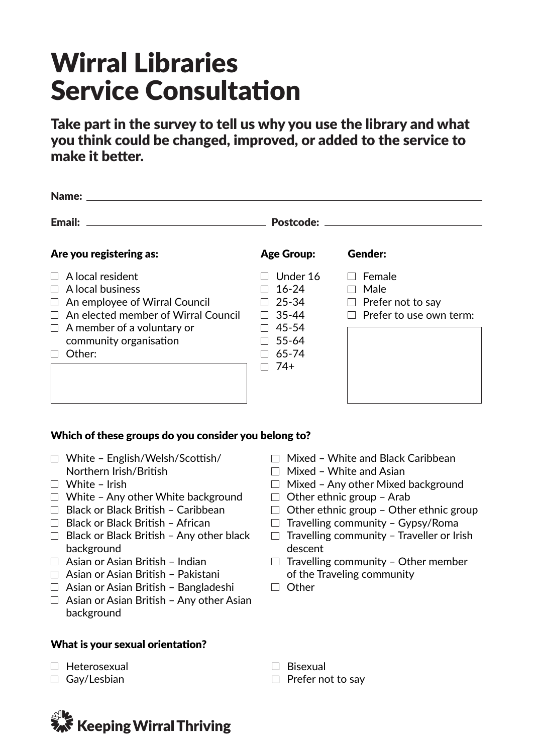# Wirral Libraries Service Consultation

Take part in the survey to tell us why you use the library and what you think could be changed, improved, or added to the service to make it better.

| <b>Name:</b> ______                                                                                                                                                                                               |                                                                                         |                                                                       |  |  |  |
|-------------------------------------------------------------------------------------------------------------------------------------------------------------------------------------------------------------------|-----------------------------------------------------------------------------------------|-----------------------------------------------------------------------|--|--|--|
| <b>Email:</b>                                                                                                                                                                                                     | <b>Postcode:</b>                                                                        |                                                                       |  |  |  |
| Are you registering as:                                                                                                                                                                                           | <b>Age Group:</b>                                                                       | Gender:                                                               |  |  |  |
| $\Box$ A local resident<br>$\Box$ A local business<br>$\Box$ An employee of Wirral Council<br>$\Box$ An elected member of Wirral Council<br>$\Box$ A member of a voluntary or<br>community organisation<br>Other: | Under 16<br>$16 - 24$<br>$25 - 34$<br>$35 - 44$<br>45-54<br>$55 - 64$<br>65-74<br>$74+$ | Female<br>Male<br>$\Box$ Prefer not to say<br>Prefer to use own term: |  |  |  |

#### Which of these groups do you consider you belong to?

- White English/Welsh/Scottish/ Northern Irish/British
- $\Box$  White Irish
- $\Box$  White Any other White background
- $\Box$  Black or Black British Caribbean
- $\Box$  Black or Black British African
- $\Box$  Black or Black British Any other black background
- $\Box$  Asian or Asian British Indian
- $\Box$  Asian or Asian British Pakistani
- $\Box$  Asian or Asian British Bangladeshi
- $\Box$  Asian or Asian British Any other Asian background

#### What is your sexual orientation?

- $\Box$  Heterosexual
- □ Gay/Lesbian



- $\Box$  Mixed White and Black Caribbean
- $\Box$  Mixed White and Asian
- $\Box$  Mixed Any other Mixed background
- $\Box$  Other ethnic group Arab
- $\Box$  Other ethnic group Other ethnic group
- $\Box$  Travelling community Gypsy/Roma
- $\Box$  Travelling community Traveller or Irish descent
- $\Box$  Travelling community Other member of the Traveling community
- $\Box$  Other

 $\Box$  Bisexual

 $\Box$  Prefer not to say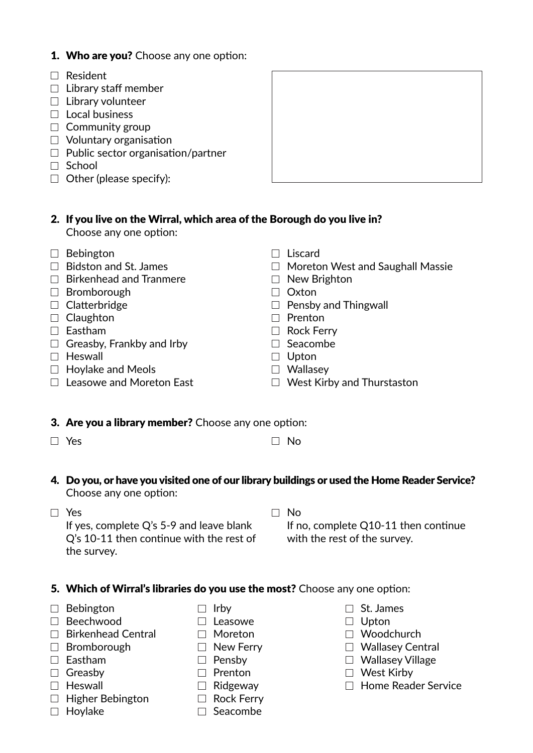# 1. Who are you? Choose any one option:

- Resident
- $\Box$  Library staff member
- $\Box$  Library volunteer
- $\Box$  Local business
- $\Box$  Community group
- $\Box$  Voluntary organisation
- $\Box$  Public sector organisation/partner
- $\Box$  School
- $\Box$  Other (please specify):



#### 2. If you live on the Wirral, which area of the Borough do you live in? Choose any one option:

- $\Box$  Bebington
- $\Box$  Bidston and St. James
- $\Box$  Birkenhead and Tranmere
- $\Box$  Bromborough
- $\Box$  Clatterbridge
- $\Box$  Claughton
- $\square$  Eastham
- $\Box$  Greasby, Frankby and Irby
- $\Box$  Heswall
- $\Box$  Hoylake and Meols
- $\Box$  Leasowe and Moreton East
- $\Box$  Liscard
- $\Box$  Moreton West and Saughall Massie
- $\Box$  New Brighton
- $\Box$  Oxton
- $\Box$  Pensby and Thingwall
- $\Box$  Prenton
- □ Rock Ferry
- $\Box$  Seacombe
- $\Box$  Upton
- □ Wallasey
- $\Box$  West Kirby and Thurstaston

# 3. Are you a library member? Choose any one option:

 Q's 10-11 then continue with the rest of

- $\Box$  Yes  $\Box$  No
- 

#### 4. Do you, or have you visited one of our library buildings or used the Home Reader Service? Choose any one option:

□ Yes If yes, complete Q's 5-9 and leave blank  $\Box$  No

 If no, complete Q10-11 then continue with the rest of the survey.

# 5. Which of Wirral's libraries do you use the most? Choose any one option:

□ Bebington

 Beechwood

the survey.

- $\Box$  Birkenhead Central
- $\Box$  Bromborough
- $\square$  Eastham
- □ Greasbv
- $\Box$  Heswall
- $\Box$  Higher Bebington
- $\Box$  Hoylake
- $\Box$  Irby
- $\Box$  Leasowe
- □ Moreton
- $\Box$  New Ferry
- $\Box$  Pensby
- $\Box$  Prenton
- $\Box$  Ridgeway
- □ Rock Ferry
- $\Box$  Seacombe
- □ St. James
- $\Box$  Upton
- □ Woodchurch
- □ Wallasey Central
- □ Wallasey Village
- West Kirby
	- $\Box$  Home Reader Service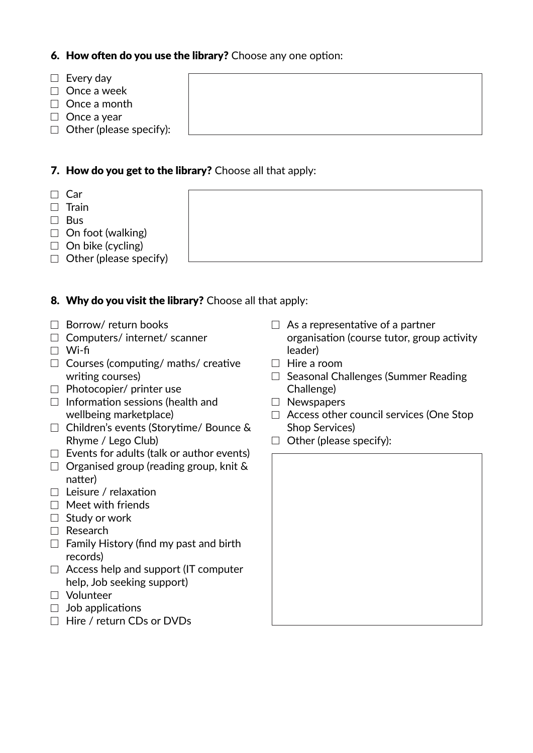# 6. How often do you use the library? Choose any one option:

- $\Box$  Every day
- $\Box$  Once a week
- $\Box$  Once a month
- $\Box$  Once a year
- $\Box$  Other (please specify):

# 7. How do you get to the library? Choose all that apply:

- $\Box$  Car
- $\Box$  Train
- □ Bus
- $\Box$  On foot (walking)
- $\Box$  On bike (cycling)
- $\Box$  Other (please specify)

# 8. Why do you visit the library? Choose all that apply:

- $\Box$  Borrow/ return books
- $\Box$  Computers/ internet/ scanner
- Wi-fi
- $\Box$  Courses (computing/ maths/ creative writing courses)
- $\Box$  Photocopier/ printer use
- $\Box$  Information sessions (health and wellbeing marketplace)
- □ Children's events (Storytime/ Bounce & Rhyme / Lego Club)
- $\Box$  Events for adults (talk or author events)
- $\Box$  Organised group (reading group, knit & natter)
- $\Box$  Leisure / relaxation
- $\Box$  Meet with friends
- $\Box$  Study or work
- □ Research
- $\Box$  Family History (find my past and birth records)
- $\Box$  Access help and support (IT computer help, Job seeking support)
- Volunteer
- $\Box$  Job applications
- □ Hire / return CDs or DVDs
- $\Box$  As a representative of a partner organisation (course tutor, group activity leader)
- $\Box$  Hire a room
- $\Box$  Seasonal Challenges (Summer Reading Challenge)
- □ Newspapers
- $\Box$  Access other council services (One Stop Shop Services)
- $\Box$  Other (please specify):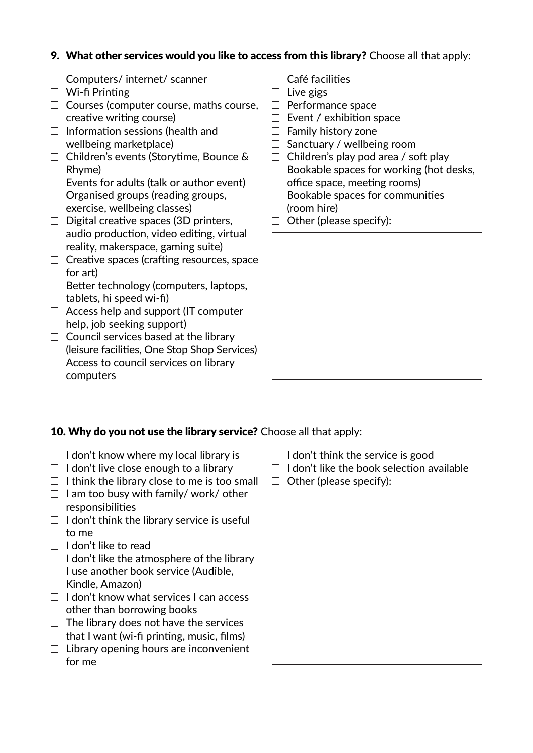# 9. What other services would you like to access from this library? Choose all that apply:

- $\Box$  Computers/ internet/ scanner
- $\Box$  Wi-fi Printing
- $\Box$  Courses (computer course, maths course, creative writing course)
- $\Box$  Information sessions (health and wellbeing marketplace)
- □ Children's events (Storytime, Bounce & Rhyme)
- $\Box$  Events for adults (talk or author event)
- $\Box$  Organised groups (reading groups, exercise, wellbeing classes)
- $\Box$  Digital creative spaces (3D printers, audio production, video editing, virtual reality, makerspace, gaming suite)
- $\Box$  Creative spaces (crafting resources, space for art)
- $\Box$  Better technology (computers, laptops, tablets, hi speed wi-fi)
- $\Box$  Access help and support (IT computer help, job seeking support)
- $\Box$  Council services based at the library (leisure facilities, One Stop Shop Services)
- $\Box$  Access to council services on library computers
- $\Box$  Café facilities
- $\Box$  Live gigs
- $\Box$  Performance space
- $\Box$  Event / exhibition space
- $\Box$  Family history zone
- $\Box$  Sanctuary / wellbeing room
- $\Box$  Children's play pod area / soft play
- $\Box$  Bookable spaces for working (hot desks, office space, meeting rooms)
- $\Box$  Bookable spaces for communities (room hire)
- $\Box$  Other (please specify):



# 10. Why do you not use the library service? Choose all that apply:

- $\Box$  I don't know where my local library is
- $\Box$  I don't live close enough to a library
- $\Box$  I think the library close to me is too small
- $\Box$  I am too busy with family/ work/ other responsibilities
- $\Box$  I don't think the library service is useful to me
- $\Box$  I don't like to read
- $\Box$  I don't like the atmosphere of the library
- $\Box$  I use another book service (Audible, Kindle, Amazon)
- $\Box$  I don't know what services I can access other than borrowing books
- $\Box$  The library does not have the services that I want (wi-fi printing, music, films)
- $\Box$  Library opening hours are inconvenient for me
- $\Box$  I don't think the service is good
- $\Box$  I don't like the book selection available
- $\Box$  Other (please specify):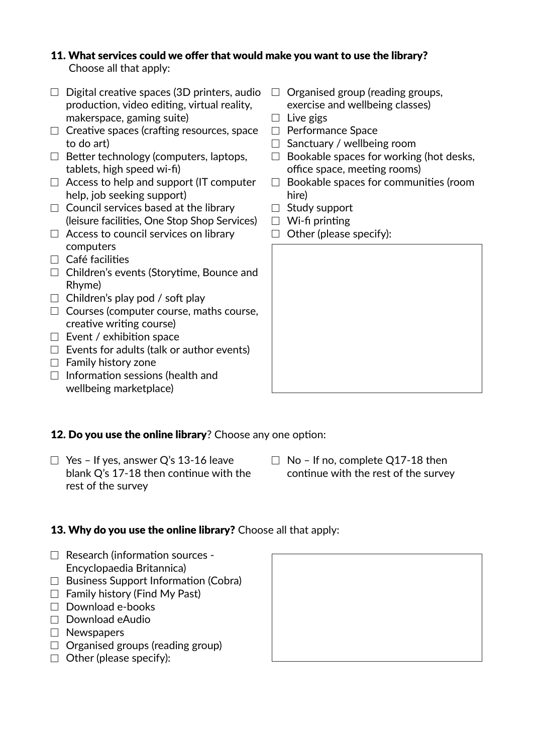# 11. What services could we offer that would make you want to use the library? Choose all that apply:

- $\Box$  Digital creative spaces (3D printers, audio production, video editing, virtual reality, makerspace, gaming suite)
- $\Box$  Creative spaces (crafting resources, space to do art)
- $\Box$  Better technology (computers, laptops, tablets, high speed wi-fi)
- $\Box$  Access to help and support (IT computer help, job seeking support)
- $\Box$  Council services based at the library (leisure facilities, One Stop Shop Services)
- $\Box$  Access to council services on library computers
- $\Box$  Café facilities
- □ Children's events (Storytime, Bounce and Rhyme)
- $\Box$  Children's play pod / soft play
- $\Box$  Courses (computer course, maths course, creative writing course)
- $\Box$  Event / exhibition space
- $\Box$  Events for adults (talk or author events)
- $\Box$  Family history zone
- $\Box$  Information sessions (health and wellbeing marketplace)
- $\Box$  Organised group (reading groups, exercise and wellbeing classes)
- $\Box$  Live gigs
- $\Box$  Performance Space
- $\Box$  Sanctuary / wellbeing room
- $\Box$  Bookable spaces for working (hot desks, office space, meeting rooms)
- $\Box$  Bookable spaces for communities (room hire)
- $\Box$  Study support
- $\Box$  Wi-fi printing
- $\Box$  Other (please specify):

12. Do you use the online library? Choose any one option:

- $\Box$  Yes If yes, answer Q's 13-16 leave blank Q's 17-18 then continue with the rest of the survey
- $\Box$  No If no, complete Q17-18 then continue with the rest of the survey

# 13. Why do you use the online library? Choose all that apply:

- $\Box$  Research (information sources -Encyclopaedia Britannica)
- $\Box$  Business Support Information (Cobra)
- $\Box$  Family history (Find My Past)
- $\Box$  Download e-books
- □ Download eAudio
- □ Newspapers
- $\Box$  Organised groups (reading group)
- $\Box$  Other (please specify):

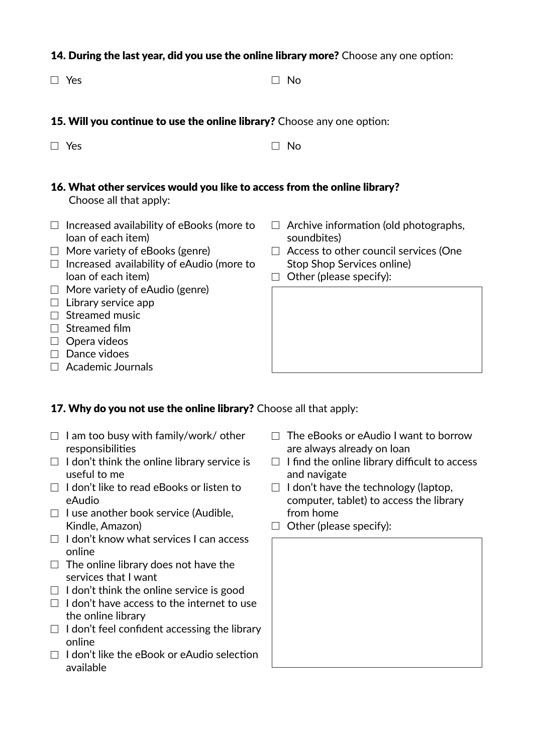#### 14. During the last year, did you use the online library more? Choose any one option:

 $\Box$  Yes  $\Box$  No

- 15. Will you continue to use the online library? Choose any one option:
- $\blacksquare$  No  $\blacksquare$  No  $\blacksquare$  No  $\blacksquare$  No  $\blacksquare$  No  $\blacksquare$  No  $\blacksquare$  No  $\blacksquare$  No  $\blacksquare$  No  $\blacksquare$
- 16. What other services would you like to access from the online library? Choose all that apply:
- $\Box$  Increased availability of eBooks (more to loan of each item)
- $\Box$  More variety of eBooks (genre)
- $\Box$  Increased availability of eAudio (more to loan of each item)
- $\Box$  More variety of eAudio (genre)
- $\Box$  Library service app
- $\Box$  Streamed music
- $\Box$  Streamed film
- $\Box$  Opera videos
- $\Box$  Dance vidoes
- $\Box$  Academic Journals

# $\Box$  Archive information (old photographs, soundbites)

- $\Box$  Access to other council services (One Stop Shop Services online)
- $\Box$  Other (please specify):

# 17. Why do you not use the online library? Choose all that apply:

- $\Box$  I am too busy with family/work/ other responsibilities
- $\Box$  I don't think the online library service is useful to me
- $\Box$  I don't like to read eBooks or listen to eAudio
- $\Box$  I use another book service (Audible, Kindle, Amazon)
- $\Box$  I don't know what services I can access online
- $\Box$  The online library does not have the services that I want
- $\Box$  I don't think the online service is good
- $\Box$  I don't have access to the internet to use the online library
- $\Box$  I don't feel confident accessing the library online
- $\Box$  I don't like the eBook or eAudio selection available
- $\Box$  The eBooks or eAudio I want to borrow are always already on loan
- $\Box$  I find the online library difficult to access and navigate
- $\Box$  I don't have the technology (laptop, computer, tablet) to access the library from home
- $\Box$  Other (please specify):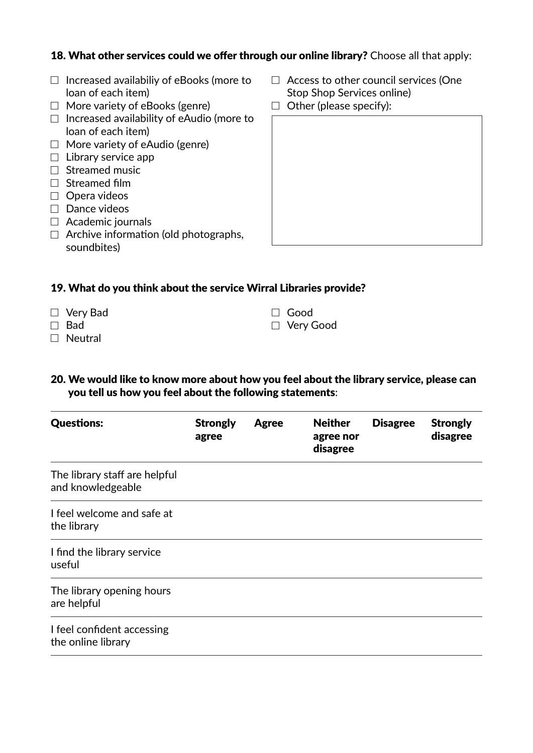#### 18. What other services could we offer through our online library? Choose all that apply:

- $\Box$  Increased availabiliy of eBooks (more to loan of each item)
- $\Box$  More variety of eBooks (genre)
- $\Box$  Increased availability of eAudio (more to loan of each item)
- $\Box$  More variety of eAudio (genre)
- $\Box$  Library service app
- $\Box$  Streamed music
- $\Box$  Streamed film
- $\Box$  Opera videos
- $\square$  Dance videos
- $\Box$  Academic journals
- $\Box$  Archive information (old photographs, soundbites)
- $\Box$  Access to other council services (One Stop Shop Services online)
- $\Box$  Other (please specify):

#### 19. What do you think about the service Wirral Libraries provide?

- □ Very Bad
- □ Bad
- □ Neutral
- Good
- Very Good
- 20. We would like to know more about how you feel about the library service, please can you tell us how you feel about the following statements:

| <b>Questions:</b>                                  | <b>Strongly</b><br>agree | <b>Agree</b> | <b>Neither</b><br>agree nor<br>disagree | <b>Disagree</b> | <b>Strongly</b><br>disagree |
|----------------------------------------------------|--------------------------|--------------|-----------------------------------------|-----------------|-----------------------------|
| The library staff are helpful<br>and knowledgeable |                          |              |                                         |                 |                             |
| I feel welcome and safe at<br>the library          |                          |              |                                         |                 |                             |
| I find the library service<br>useful               |                          |              |                                         |                 |                             |
| The library opening hours<br>are helpful           |                          |              |                                         |                 |                             |
| I feel confident accessing<br>the online library   |                          |              |                                         |                 |                             |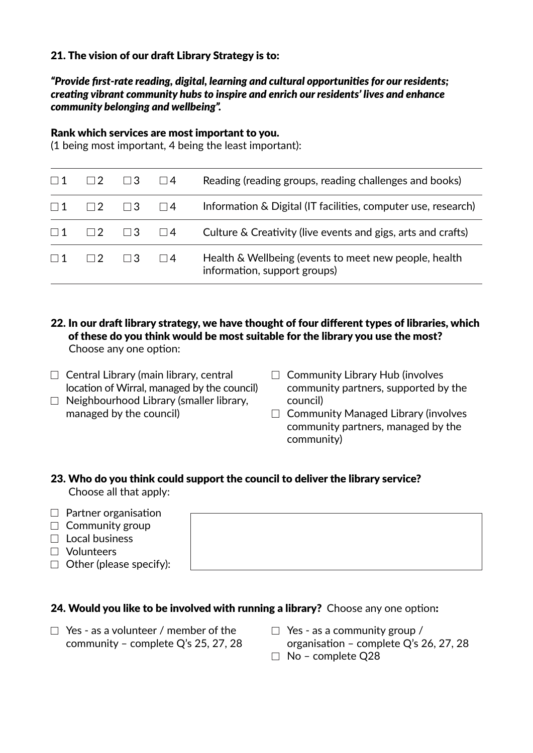# 21. The vision of our draft Library Strategy is to:

#### *"Provide first-rate reading, digital, learning and cultural opportunities for our residents; creating vibrant community hubs to inspire and enrich our residents' lives and enhance community belonging and wellbeing".*

#### Rank which services are most important to you.

(1 being most important, 4 being the least important):

| $\Box$ 1 | $\Box$ 2 | $\Box$ 3 | $\Box$ 4 | Reading (reading groups, reading challenges and books)                                |
|----------|----------|----------|----------|---------------------------------------------------------------------------------------|
| $\Box$ 1 | $\Box$   | $\Box$ 3 | $\Box$ 4 | Information & Digital (IT facilities, computer use, research)                         |
| $\Box$ 1 |          | $\Box$ 3 | $\Box$ 4 | Culture & Creativity (live events and gigs, arts and crafts)                          |
| $\Box$ 1 | $\Box$   | $\Box$ 3 | $\Box$ 4 | Health & Wellbeing (events to meet new people, health<br>information, support groups) |

- 22. In our draft library strategy, we have thought of four different types of libraries, which of these do you think would be most suitable for the library you use the most? Choose any one option:
- $\Box$  Central Library (main library, central location of Wirral, managed by the council)
- $\Box$  Neighbourhood Library (smaller library, managed by the council)
- $\Box$  Community Library Hub (involves community partners, supported by the council)
- $\Box$  Community Managed Library (involves community partners, managed by the community)

#### 23. Who do you think could support the council to deliver the library service? Choose all that apply:

- $\Box$  Partner organisation
- $\Box$  Community group
- $\Box$  Local business
- Volunteers
- $\Box$  Other (please specify):

# 24. Would you like to be involved with running a library? Choose any one option:

- $\Box$  Yes as a volunteer / member of the community – complete Q's 25, 27, 28
- $\Box$  Yes as a community group /
- organisation complete Q's 26, 27, 28
- $\Box$  No complete Q28